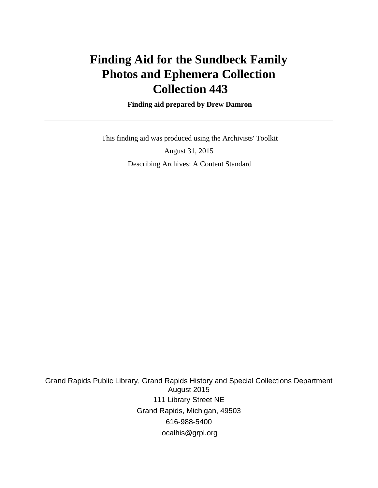# **Finding Aid for the Sundbeck Family Photos and Ephemera Collection Collection 443**

 **Finding aid prepared by Drew Damron**

 This finding aid was produced using the Archivists' Toolkit August 31, 2015 Describing Archives: A Content Standard

Grand Rapids Public Library, Grand Rapids History and Special Collections Department August 2015 111 Library Street NE Grand Rapids, Michigan, 49503 616-988-5400 localhis@grpl.org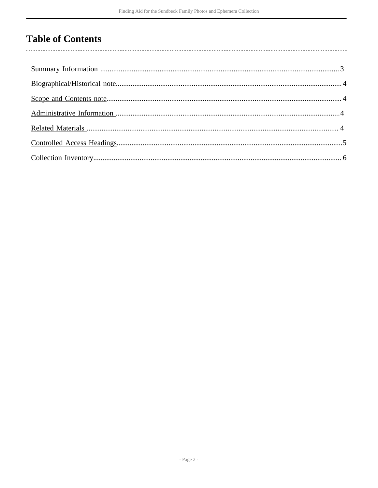# **Table of Contents**

 $\overline{\phantom{a}}$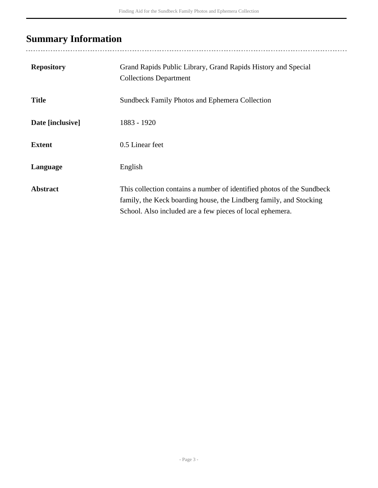# <span id="page-2-0"></span>**Summary Information**

| <b>Repository</b> | Grand Rapids Public Library, Grand Rapids History and Special<br><b>Collections Department</b>                                                                                                            |
|-------------------|-----------------------------------------------------------------------------------------------------------------------------------------------------------------------------------------------------------|
| <b>Title</b>      | Sundbeck Family Photos and Ephemera Collection                                                                                                                                                            |
| Date [inclusive]  | 1883 - 1920                                                                                                                                                                                               |
| <b>Extent</b>     | 0.5 Linear feet                                                                                                                                                                                           |
| Language          | English                                                                                                                                                                                                   |
| <b>Abstract</b>   | This collection contains a number of identified photos of the Sundbeck<br>family, the Keck boarding house, the Lindberg family, and Stocking<br>School. Also included are a few pieces of local ephemera. |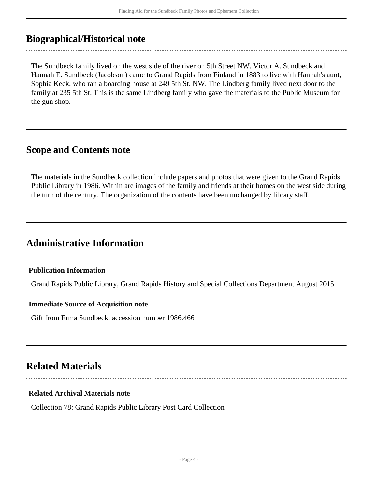## <span id="page-3-0"></span>**Biographical/Historical note**

The Sundbeck family lived on the west side of the river on 5th Street NW. Victor A. Sundbeck and Hannah E. Sundbeck (Jacobson) came to Grand Rapids from Finland in 1883 to live with Hannah's aunt, Sophia Keck, who ran a boarding house at 249 5th St. NW. The Lindberg family lived next door to the family at 235 5th St. This is the same Lindberg family who gave the materials to the Public Museum for the gun shop.

## <span id="page-3-1"></span>**Scope and Contents note**

The materials in the Sundbeck collection include papers and photos that were given to the Grand Rapids Public Library in 1986. Within are images of the family and friends at their homes on the west side during the turn of the century. The organization of the contents have been unchanged by library staff.

## <span id="page-3-2"></span>**Administrative Information**

**Publication Information**

Grand Rapids Public Library, Grand Rapids History and Special Collections Department August 2015

#### **Immediate Source of Acquisition note**

Gift from Erma Sundbeck, accession number 1986.466

## <span id="page-3-3"></span>**Related Materials**

### **Related Archival Materials note**

Collection 78: Grand Rapids Public Library Post Card Collection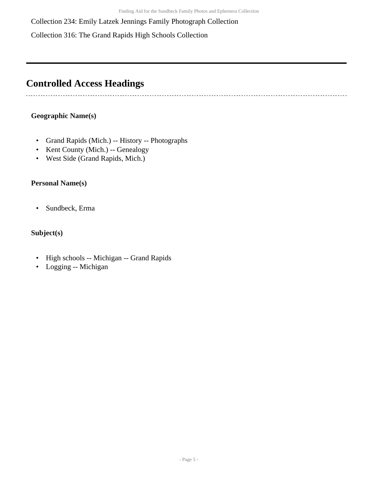Collection 234: Emily Latzek Jennings Family Photograph Collection

Collection 316: The Grand Rapids High Schools Collection

## <span id="page-4-0"></span>**Controlled Access Headings**

### **Geographic Name(s)**

-----------------------

- Grand Rapids (Mich.) -- History -- Photographs
- Kent County (Mich.) -- Genealogy
- West Side (Grand Rapids, Mich.)

### **Personal Name(s)**

• Sundbeck, Erma

### **Subject(s)**

- High schools -- Michigan -- Grand Rapids
- Logging -- Michigan